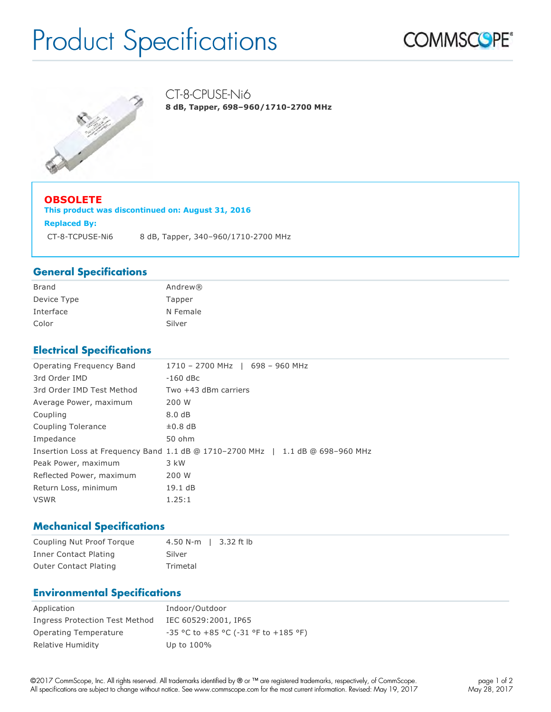# Product Specifications





**OBSOLETE This product was discontinued on: August 31, 2016 Replaced By:**

CT-8-TCPUSE-Ni6 8 dB, Tapper, 340–960/1710-2700 MHz

CT-8-CPUSE-Ni6

**8 dB, Tapper, 698–960/1710-2700 MHz**

#### **General Specifications**

| <b>Brand</b> | Andrew®  |
|--------------|----------|
| Device Type  | Tapper   |
| Interface    | N Female |
| Color        | Silver   |

### **Electrical Specifications**

| Operating Frequency Band  | 1710 - 2700 MHz   698 - 960 MHz                                                |
|---------------------------|--------------------------------------------------------------------------------|
| 3rd Order IMD             | $-160$ dBc                                                                     |
| 3rd Order IMD Test Method | Two $+43$ dBm carriers                                                         |
| Average Power, maximum    | 200 W                                                                          |
| Coupling                  | 8.0 dB                                                                         |
| Coupling Tolerance        | $\pm 0.8$ dB                                                                   |
| Impedance                 | 50 ohm                                                                         |
|                           | Insertion Loss at Frequency Band 1.1 dB @ 1710-2700 MHz   1.1 dB @ 698-960 MHz |
| Peak Power, maximum       | 3 kW                                                                           |
| Reflected Power, maximum  | 200 W                                                                          |
| Return Loss, minimum      | 19.1dB                                                                         |
| <b>VSWR</b>               | 1.25:1                                                                         |

#### **Mechanical Specifications**

| Coupling Nut Proof Torque    | 4.50 N-m   3.32 ft lb |  |
|------------------------------|-----------------------|--|
| Inner Contact Plating        | Silver                |  |
| <b>Outer Contact Plating</b> | Trimetal              |  |

### **Environmental Specifications**

| Application                    | Indoor/Outdoor                       |
|--------------------------------|--------------------------------------|
| Ingress Protection Test Method | IEC 60529:2001, IP65                 |
| Operating Temperature          | -35 °C to +85 °C (-31 °F to +185 °F) |
| Relative Humidity              | Up to 100%                           |